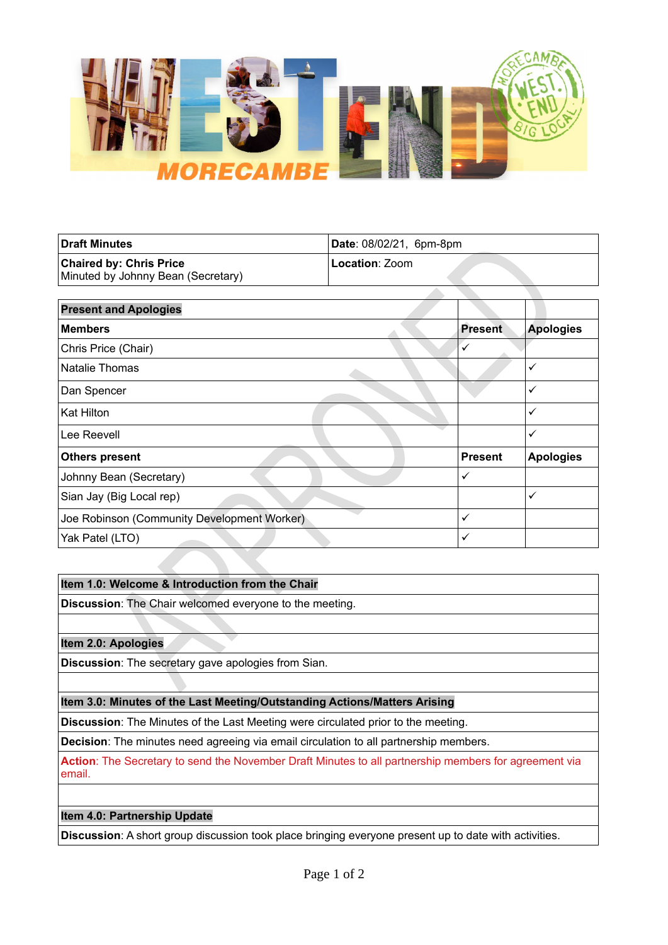

| Draft Minutes                      | Date: 08/02/21, 6pm-8pm |
|------------------------------------|-------------------------|
| <b>Chaired by: Chris Price</b>     | Location: Zoom          |
| Minuted by Johnny Bean (Secretary) |                         |

| <b>Present and Apologies</b>                |                |                  |
|---------------------------------------------|----------------|------------------|
| <b>Members</b>                              |                | <b>Apologies</b> |
| Chris Price (Chair)                         | ✓              |                  |
| <b>Natalie Thomas</b>                       |                | $\checkmark$     |
| Dan Spencer                                 |                | $\checkmark$     |
| Kat Hilton                                  |                | ✓                |
| Lee Reevell                                 |                | $\checkmark$     |
| <b>Others present</b>                       | <b>Present</b> | <b>Apologies</b> |
| Johnny Bean (Secretary)                     | ✓              |                  |
| Sian Jay (Big Local rep)                    |                | ✓                |
| Joe Robinson (Community Development Worker) | $\checkmark$   |                  |
| Yak Patel (LTO)                             | ✓              |                  |

# **Item 1.0: Welcome & Introduction from the Chair**

**Discussion**: The Chair welcomed everyone to the meeting.

**Item 2.0: Apologies**

**Discussion**: The secretary gave apologies from Sian.

# **Item 3.0: Minutes of the Last Meeting/Outstanding Actions/Matters Arising**

**Discussion**: The Minutes of the Last Meeting were circulated prior to the meeting.

**Decision**: The minutes need agreeing via email circulation to all partnership members.

**Action**: The Secretary to send the November Draft Minutes to all partnership members for agreement via email.

# **Item 4.0: Partnership Update**

**Discussion**: A short group discussion took place bringing everyone present up to date with activities.